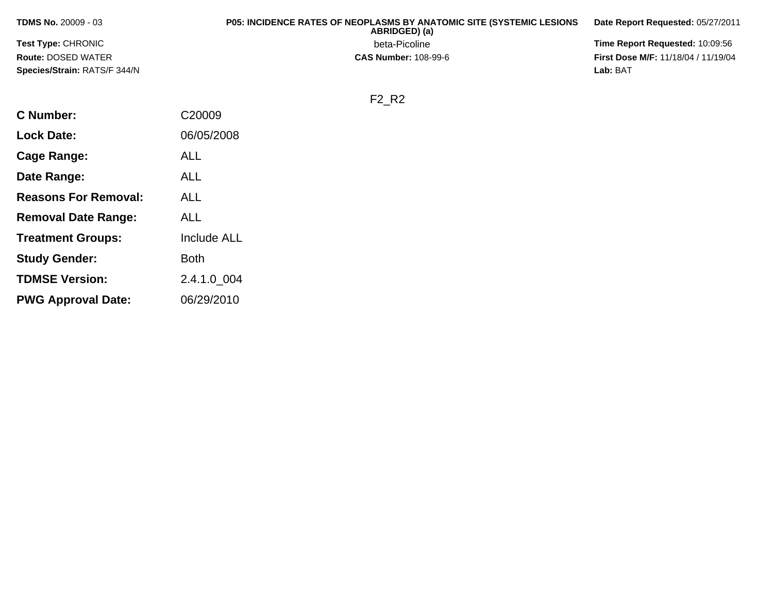| <b>TDMS No. 20009 - 03</b>          | <b>P05: INCIDENCE RATES OF NEOPLASMS BY ANATOMIC SITE (SYSTEMIC LESIONS)</b><br>ABRIDGED) (a) | Date Report Requested: 05/27/2011          |
|-------------------------------------|-----------------------------------------------------------------------------------------------|--------------------------------------------|
| <b>Test Type: CHRONIC</b>           | beta-Picoline                                                                                 | <b>Time Report Requested: 10:09:56</b>     |
| <b>Route: DOSED WATER</b>           | <b>CAS Number: 108-99-6</b>                                                                   | <b>First Dose M/F: 11/18/04 / 11/19/04</b> |
| <b>Species/Strain: RATS/F 344/N</b> |                                                                                               | Lab: BAT                                   |

**Lab:** BAT

F2\_R2

| <b>C Number:</b>            | C <sub>20009</sub> |
|-----------------------------|--------------------|
| <b>Lock Date:</b>           | 06/05/2008         |
| Cage Range:                 | ALL                |
| Date Range:                 | <b>ALL</b>         |
| <b>Reasons For Removal:</b> | ALL                |
| <b>Removal Date Range:</b>  | ALL                |
| <b>Treatment Groups:</b>    | <b>Include ALL</b> |
| <b>Study Gender:</b>        | <b>Both</b>        |
| <b>TDMSE Version:</b>       | 2.4.1.0_004        |
| <b>PWG Approval Date:</b>   | 06/29/2010         |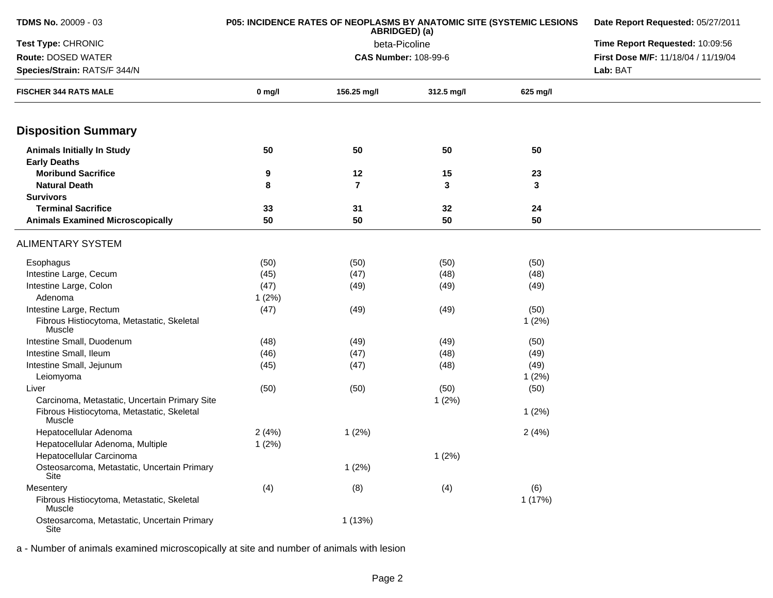| <b>TDMS No. 20009 - 03</b>                           | <b>P05: INCIDENCE RATES OF NEOPLASMS BY ANATOMIC SITE (SYSTEMIC LESIONS</b> | Date Report Requested: 05/27/2011 |                                 |          |                                     |
|------------------------------------------------------|-----------------------------------------------------------------------------|-----------------------------------|---------------------------------|----------|-------------------------------------|
| Test Type: CHRONIC                                   |                                                                             | beta-Picoline                     | Time Report Requested: 10:09:56 |          |                                     |
| <b>Route: DOSED WATER</b>                            |                                                                             |                                   | <b>CAS Number: 108-99-6</b>     |          | First Dose M/F: 11/18/04 / 11/19/04 |
| Species/Strain: RATS/F 344/N                         |                                                                             |                                   | Lab: BAT                        |          |                                     |
| <b>FISCHER 344 RATS MALE</b>                         | $0$ mg/l                                                                    | 156.25 mg/l                       | 312.5 mg/l                      | 625 mg/l |                                     |
| <b>Disposition Summary</b>                           |                                                                             |                                   |                                 |          |                                     |
| <b>Animals Initially In Study</b>                    | 50                                                                          | 50                                | 50                              | 50       |                                     |
| <b>Early Deaths</b>                                  |                                                                             |                                   |                                 |          |                                     |
| <b>Moribund Sacrifice</b>                            | 9                                                                           | 12                                | 15                              | 23       |                                     |
| <b>Natural Death</b>                                 | 8                                                                           | $\overline{7}$                    | 3                               | 3        |                                     |
| <b>Survivors</b>                                     |                                                                             |                                   |                                 |          |                                     |
| <b>Terminal Sacrifice</b>                            | 33                                                                          | 31                                | 32                              | 24       |                                     |
| <b>Animals Examined Microscopically</b>              | 50                                                                          | 50                                | 50                              | 50       |                                     |
| <b>ALIMENTARY SYSTEM</b>                             |                                                                             |                                   |                                 |          |                                     |
| Esophagus                                            | (50)                                                                        | (50)                              | (50)                            | (50)     |                                     |
| Intestine Large, Cecum                               | (45)                                                                        | (47)                              | (48)                            | (48)     |                                     |
| Intestine Large, Colon                               | (47)                                                                        | (49)                              | (49)                            | (49)     |                                     |
| Adenoma                                              | 1(2%)                                                                       |                                   |                                 |          |                                     |
| Intestine Large, Rectum                              | (47)                                                                        | (49)                              | (49)                            | (50)     |                                     |
| Fibrous Histiocytoma, Metastatic, Skeletal<br>Muscle |                                                                             |                                   |                                 | 1(2%)    |                                     |
| Intestine Small, Duodenum                            | (48)                                                                        | (49)                              | (49)                            | (50)     |                                     |
| Intestine Small, Ileum                               | (46)                                                                        | (47)                              | (48)                            | (49)     |                                     |
| Intestine Small, Jejunum                             | (45)                                                                        | (47)                              | (48)                            | (49)     |                                     |
| Leiomyoma                                            |                                                                             |                                   |                                 | 1(2%)    |                                     |
| Liver                                                | (50)                                                                        | (50)                              | (50)                            | (50)     |                                     |
| Carcinoma, Metastatic, Uncertain Primary Site        |                                                                             |                                   | 1(2%)                           |          |                                     |
| Fibrous Histiocytoma, Metastatic, Skeletal<br>Muscle |                                                                             |                                   |                                 | 1(2%)    |                                     |
| Hepatocellular Adenoma                               | 2(4%)                                                                       | 1(2%)                             |                                 | 2(4%)    |                                     |
| Hepatocellular Adenoma, Multiple                     | 1(2%)                                                                       |                                   |                                 |          |                                     |
| Hepatocellular Carcinoma                             |                                                                             |                                   | 1(2%)                           |          |                                     |
| Osteosarcoma, Metastatic, Uncertain Primary<br>Site  |                                                                             | 1(2%)                             |                                 |          |                                     |
| Mesentery                                            | (4)                                                                         | (8)                               | (4)                             | (6)      |                                     |
| Fibrous Histiocytoma, Metastatic, Skeletal<br>Muscle |                                                                             |                                   |                                 | 1(17%)   |                                     |
| Osteosarcoma, Metastatic, Uncertain Primary<br>Site  |                                                                             | 1(13%)                            |                                 |          |                                     |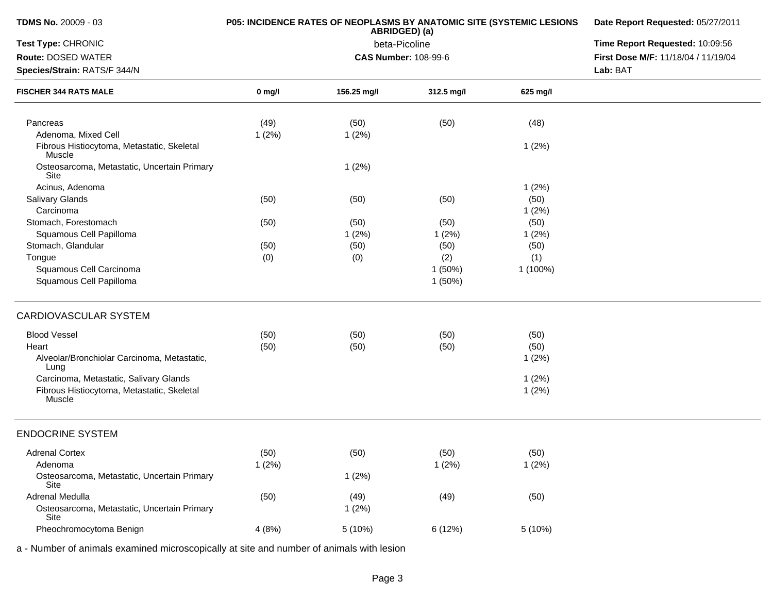| <b>TDMS No. 20009 - 03</b>                           |          | P05: INCIDENCE RATES OF NEOPLASMS BY ANATOMIC SITE (SYSTEMIC LESIONS<br>ABRIDGED) (a) | Date Report Requested: 05/27/2011 |                                 |                                                 |
|------------------------------------------------------|----------|---------------------------------------------------------------------------------------|-----------------------------------|---------------------------------|-------------------------------------------------|
| Test Type: CHRONIC                                   |          | beta-Picoline                                                                         |                                   | Time Report Requested: 10:09:56 |                                                 |
| Route: DOSED WATER<br>Species/Strain: RATS/F 344/N   |          |                                                                                       | <b>CAS Number: 108-99-6</b>       |                                 | First Dose M/F: 11/18/04 / 11/19/04<br>Lab: BAT |
| <b>FISCHER 344 RATS MALE</b>                         | $0$ mg/l | 156.25 mg/l                                                                           | 312.5 mg/l                        | 625 mg/l                        |                                                 |
| Pancreas<br>Adenoma, Mixed Cell                      | (49)     | (50)                                                                                  | (50)                              | (48)                            |                                                 |
| Fibrous Histiocytoma, Metastatic, Skeletal<br>Muscle | 1(2%)    | 1(2%)                                                                                 |                                   | 1(2%)                           |                                                 |
| Osteosarcoma, Metastatic, Uncertain Primary<br>Site  |          | 1(2%)                                                                                 |                                   |                                 |                                                 |
| Acinus, Adenoma                                      |          |                                                                                       |                                   | 1(2%)                           |                                                 |
| Salivary Glands                                      | (50)     | (50)                                                                                  | (50)                              | (50)                            |                                                 |
| Carcinoma                                            |          |                                                                                       |                                   | 1(2%)                           |                                                 |
| Stomach, Forestomach                                 | (50)     | (50)                                                                                  | (50)                              | (50)                            |                                                 |
| Squamous Cell Papilloma                              |          | 1(2%)                                                                                 | 1(2%)                             | 1(2%)                           |                                                 |
| Stomach, Glandular                                   | (50)     | (50)                                                                                  | (50)                              | (50)                            |                                                 |
| Tongue                                               | (0)      | (0)                                                                                   | (2)                               | (1)                             |                                                 |
| Squamous Cell Carcinoma                              |          |                                                                                       | 1(50%)                            | 1 (100%)                        |                                                 |
| Squamous Cell Papilloma                              |          |                                                                                       | 1(50%)                            |                                 |                                                 |
| <b>CARDIOVASCULAR SYSTEM</b>                         |          |                                                                                       |                                   |                                 |                                                 |
| <b>Blood Vessel</b>                                  | (50)     | (50)                                                                                  | (50)                              | (50)                            |                                                 |
| Heart                                                | (50)     | (50)                                                                                  | (50)                              | (50)                            |                                                 |
| Alveolar/Bronchiolar Carcinoma, Metastatic,<br>Lung  |          |                                                                                       |                                   | 1(2%)                           |                                                 |
| Carcinoma, Metastatic, Salivary Glands               |          |                                                                                       |                                   | 1(2%)                           |                                                 |
| Fibrous Histiocytoma, Metastatic, Skeletal<br>Muscle |          |                                                                                       |                                   | 1(2%)                           |                                                 |
| <b>ENDOCRINE SYSTEM</b>                              |          |                                                                                       |                                   |                                 |                                                 |
| <b>Adrenal Cortex</b>                                | (50)     | (50)                                                                                  | (50)                              | (50)                            |                                                 |
| Adenoma                                              | 1(2%)    |                                                                                       | 1(2%)                             | 1(2%)                           |                                                 |
| Osteosarcoma, Metastatic, Uncertain Primary<br>Site  |          | 1(2%)                                                                                 |                                   |                                 |                                                 |
| Adrenal Medulla                                      | (50)     | (49)                                                                                  | (49)                              | (50)                            |                                                 |
| Osteosarcoma, Metastatic, Uncertain Primary          |          | 1(2%)                                                                                 |                                   |                                 |                                                 |
| Site                                                 |          |                                                                                       |                                   |                                 |                                                 |
| Pheochromocytoma Benign                              | 4(8%)    | 5 (10%)                                                                               | 6(12%)                            | 5(10%)                          |                                                 |
|                                                      |          |                                                                                       |                                   |                                 |                                                 |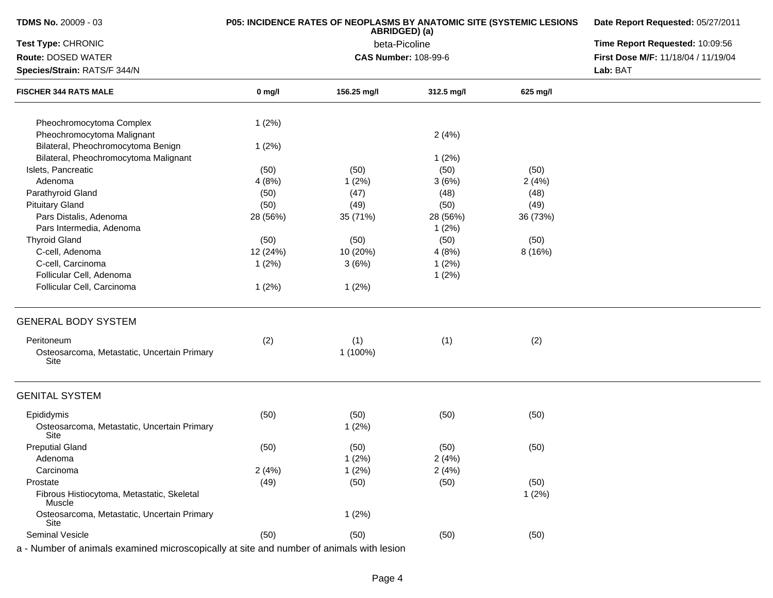| <b>TDMS No. 20009 - 03</b>                                                               | P05: INCIDENCE RATES OF NEOPLASMS BY ANATOMIC SITE (SYSTEMIC LESIONS | Date Report Requested: 05/27/2011<br>Time Report Requested: 10:09:56 |                             |          |                                     |
|------------------------------------------------------------------------------------------|----------------------------------------------------------------------|----------------------------------------------------------------------|-----------------------------|----------|-------------------------------------|
| Test Type: CHRONIC                                                                       |                                                                      |                                                                      |                             |          |                                     |
| Route: DOSED WATER                                                                       |                                                                      |                                                                      | <b>CAS Number: 108-99-6</b> |          | First Dose M/F: 11/18/04 / 11/19/04 |
| Species/Strain: RATS/F 344/N                                                             |                                                                      |                                                                      |                             |          | Lab: BAT                            |
| <b>FISCHER 344 RATS MALE</b>                                                             | $0$ mg/l                                                             | 156.25 mg/l                                                          | 312.5 mg/l                  | 625 mg/l |                                     |
| Pheochromocytoma Complex                                                                 | 1(2%)                                                                |                                                                      |                             |          |                                     |
| Pheochromocytoma Malignant                                                               |                                                                      |                                                                      | 2(4%)                       |          |                                     |
| Bilateral, Pheochromocytoma Benign                                                       | 1(2%)                                                                |                                                                      |                             |          |                                     |
| Bilateral, Pheochromocytoma Malignant                                                    |                                                                      |                                                                      | 1(2%)                       |          |                                     |
| Islets, Pancreatic                                                                       | (50)                                                                 | (50)                                                                 | (50)                        | (50)     |                                     |
| Adenoma                                                                                  | 4(8%)                                                                | 1(2%)                                                                | 3(6%)                       | 2(4%)    |                                     |
| Parathyroid Gland                                                                        | (50)                                                                 | (47)                                                                 | (48)                        | (48)     |                                     |
| <b>Pituitary Gland</b>                                                                   | (50)                                                                 | (49)                                                                 | (50)                        | (49)     |                                     |
| Pars Distalis, Adenoma                                                                   | 28 (56%)                                                             | 35 (71%)                                                             | 28 (56%)                    | 36 (73%) |                                     |
| Pars Intermedia, Adenoma                                                                 |                                                                      |                                                                      | 1(2%)                       |          |                                     |
| <b>Thyroid Gland</b>                                                                     | (50)                                                                 | (50)                                                                 | (50)                        | (50)     |                                     |
| C-cell, Adenoma                                                                          | 12 (24%)                                                             | 10 (20%)                                                             | 4(8%)                       | 8 (16%)  |                                     |
| C-cell, Carcinoma                                                                        | 1(2%)                                                                | 3(6%)                                                                | 1(2%)                       |          |                                     |
| Follicular Cell, Adenoma                                                                 |                                                                      |                                                                      | 1(2%)                       |          |                                     |
| Follicular Cell, Carcinoma                                                               |                                                                      |                                                                      |                             |          |                                     |
|                                                                                          | 1(2%)                                                                | 1(2%)                                                                |                             |          |                                     |
| <b>GENERAL BODY SYSTEM</b>                                                               |                                                                      |                                                                      |                             |          |                                     |
| Peritoneum<br>Osteosarcoma, Metastatic, Uncertain Primary<br>Site                        | (2)                                                                  | (1)<br>1 (100%)                                                      | (1)                         | (2)      |                                     |
| <b>GENITAL SYSTEM</b>                                                                    |                                                                      |                                                                      |                             |          |                                     |
| Epididymis                                                                               | (50)                                                                 | (50)                                                                 | (50)                        | (50)     |                                     |
| Osteosarcoma, Metastatic, Uncertain Primary<br>Site                                      |                                                                      | 1(2%)                                                                |                             |          |                                     |
| <b>Preputial Gland</b>                                                                   | (50)                                                                 | (50)                                                                 | (50)                        | (50)     |                                     |
| Adenoma                                                                                  |                                                                      | 1(2%)                                                                | 2(4%)                       |          |                                     |
| Carcinoma                                                                                | 2(4%)                                                                | 1(2%)                                                                | 2(4%)                       |          |                                     |
| Prostate                                                                                 | (49)                                                                 | (50)                                                                 | (50)                        | (50)     |                                     |
| Fibrous Histiocytoma, Metastatic, Skeletal<br>Muscle                                     |                                                                      |                                                                      |                             | 1(2%)    |                                     |
| Osteosarcoma, Metastatic, Uncertain Primary<br>Site                                      |                                                                      | 1(2%)                                                                |                             |          |                                     |
| <b>Seminal Vesicle</b>                                                                   | (50)                                                                 | (50)                                                                 | (50)                        | (50)     |                                     |
| a - Number of animals examined microscopically at site and number of animals with lesion |                                                                      |                                                                      |                             |          |                                     |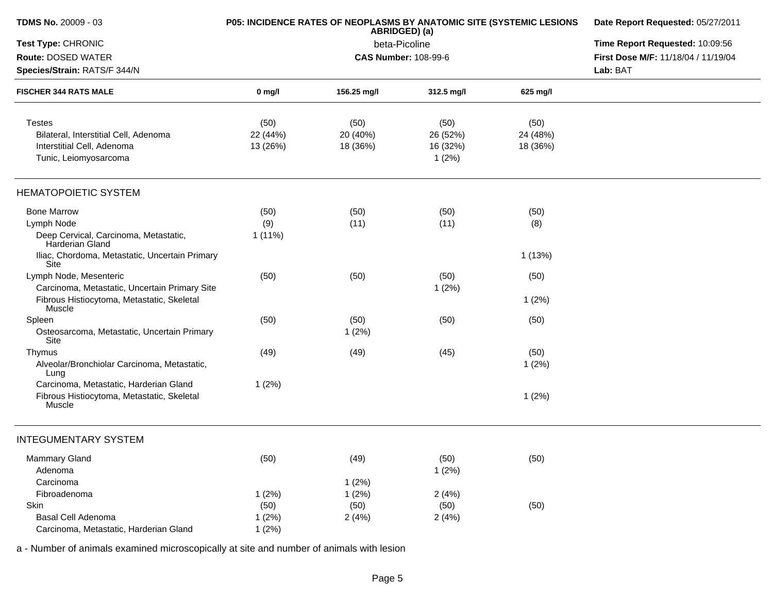| <b>TDMS No. 20009 - 03</b>                               |           | P05: INCIDENCE RATES OF NEOPLASMS BY ANATOMIC SITE (SYSTEMIC LESIONS<br>ABRIDGED) (a) | Date Report Requested: 05/27/2011<br>Time Report Requested: 10:09:56 |          |                                     |
|----------------------------------------------------------|-----------|---------------------------------------------------------------------------------------|----------------------------------------------------------------------|----------|-------------------------------------|
| Test Type: CHRONIC                                       |           | beta-Picoline                                                                         |                                                                      |          |                                     |
| <b>Route: DOSED WATER</b>                                |           |                                                                                       | <b>CAS Number: 108-99-6</b>                                          |          | First Dose M/F: 11/18/04 / 11/19/04 |
| Species/Strain: RATS/F 344/N                             |           |                                                                                       |                                                                      |          | Lab: BAT                            |
| <b>FISCHER 344 RATS MALE</b>                             | $0$ mg/l  | 156.25 mg/l                                                                           | 312.5 mg/l                                                           | 625 mg/l |                                     |
| <b>Testes</b>                                            | (50)      | (50)                                                                                  | (50)                                                                 | (50)     |                                     |
| Bilateral, Interstitial Cell, Adenoma                    | 22 (44%)  | 20 (40%)                                                                              | 26 (52%)                                                             | 24 (48%) |                                     |
| Interstitial Cell, Adenoma                               | 13 (26%)  | 18 (36%)                                                                              | 16 (32%)                                                             | 18 (36%) |                                     |
| Tunic, Leiomyosarcoma                                    |           |                                                                                       | 1(2%)                                                                |          |                                     |
| <b>HEMATOPOIETIC SYSTEM</b>                              |           |                                                                                       |                                                                      |          |                                     |
| <b>Bone Marrow</b>                                       | (50)      | (50)                                                                                  | (50)                                                                 | (50)     |                                     |
| Lymph Node                                               | (9)       | (11)                                                                                  | (11)                                                                 | (8)      |                                     |
| Deep Cervical, Carcinoma, Metastatic,<br>Harderian Gland | $1(11\%)$ |                                                                                       |                                                                      |          |                                     |
| Iliac, Chordoma, Metastatic, Uncertain Primary<br>Site   |           |                                                                                       |                                                                      | 1(13%)   |                                     |
| Lymph Node, Mesenteric                                   | (50)      | (50)                                                                                  | (50)                                                                 | (50)     |                                     |
| Carcinoma, Metastatic, Uncertain Primary Site            |           |                                                                                       | 1(2%)                                                                |          |                                     |
| Fibrous Histiocytoma, Metastatic, Skeletal<br>Muscle     |           |                                                                                       |                                                                      | 1(2%)    |                                     |
| Spleen                                                   | (50)      | (50)                                                                                  | (50)                                                                 | (50)     |                                     |
| Osteosarcoma, Metastatic, Uncertain Primary<br>Site      |           | 1(2%)                                                                                 |                                                                      |          |                                     |
| Thymus                                                   | (49)      | (49)                                                                                  | (45)                                                                 | (50)     |                                     |
| Alveolar/Bronchiolar Carcinoma, Metastatic,<br>Lung      |           |                                                                                       |                                                                      | 1(2%)    |                                     |
| Carcinoma, Metastatic, Harderian Gland                   | 1(2%)     |                                                                                       |                                                                      |          |                                     |
| Fibrous Histiocytoma, Metastatic, Skeletal<br>Muscle     |           |                                                                                       |                                                                      | 1(2%)    |                                     |
| <b>INTEGUMENTARY SYSTEM</b>                              |           |                                                                                       |                                                                      |          |                                     |
| <b>Mammary Gland</b>                                     | (50)      | (49)                                                                                  | (50)                                                                 | (50)     |                                     |
| Adenoma                                                  |           |                                                                                       | 1(2%)                                                                |          |                                     |
| Carcinoma                                                |           | 1(2%)                                                                                 |                                                                      |          |                                     |
| Fibroadenoma                                             | 1(2%)     | 1(2%)                                                                                 | 2(4%)                                                                |          |                                     |
| Skin                                                     | (50)      | (50)                                                                                  | (50)                                                                 | (50)     |                                     |
| <b>Basal Cell Adenoma</b>                                | 1(2%)     | 2(4%)                                                                                 | 2(4%)                                                                |          |                                     |
| Carcinoma, Metastatic, Harderian Gland                   | 1(2%)     |                                                                                       |                                                                      |          |                                     |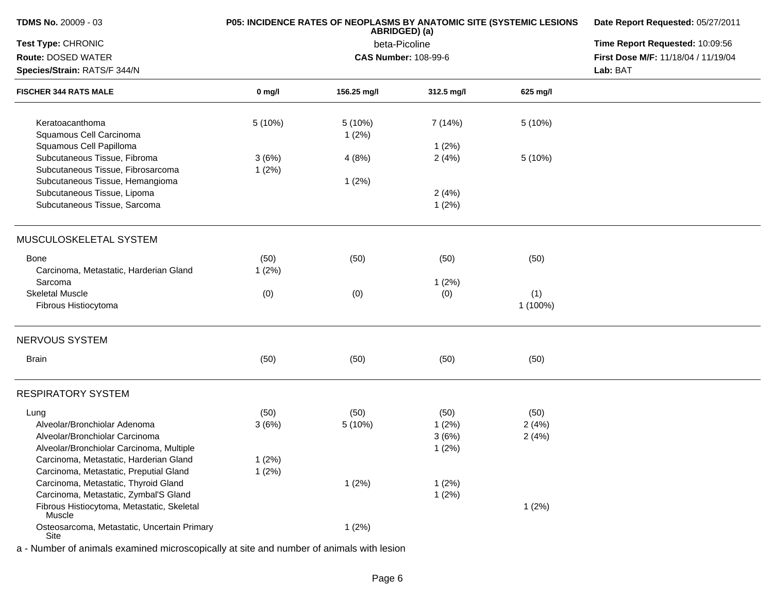| <b>TDMS No. 20009 - 03</b>                                        | P05: INCIDENCE RATES OF NEOPLASMS BY ANATOMIC SITE (SYSTEMIC LESIONS | Date Report Requested: 05/27/2011 |                             |          |                                     |
|-------------------------------------------------------------------|----------------------------------------------------------------------|-----------------------------------|-----------------------------|----------|-------------------------------------|
| Test Type: CHRONIC                                                |                                                                      | Time Report Requested: 10:09:56   |                             |          |                                     |
| Route: DOSED WATER                                                |                                                                      |                                   | <b>CAS Number: 108-99-6</b> |          | First Dose M/F: 11/18/04 / 11/19/04 |
| Species/Strain: RATS/F 344/N                                      |                                                                      |                                   |                             |          | Lab: BAT                            |
| <b>FISCHER 344 RATS MALE</b>                                      | $0$ mg/l                                                             | 156.25 mg/l                       | 312.5 mg/l                  | 625 mg/l |                                     |
| Keratoacanthoma<br>Squamous Cell Carcinoma                        | 5 (10%)                                                              | 5 (10%)<br>1(2%)                  | 7 (14%)                     | 5 (10%)  |                                     |
| Squamous Cell Papilloma                                           |                                                                      |                                   | 1(2%)                       |          |                                     |
| Subcutaneous Tissue, Fibroma<br>Subcutaneous Tissue, Fibrosarcoma | 3(6%)<br>1(2%)                                                       | 4(8%)                             | 2(4%)                       | 5 (10%)  |                                     |
| Subcutaneous Tissue, Hemangioma                                   |                                                                      | 1(2%)                             |                             |          |                                     |
| Subcutaneous Tissue, Lipoma                                       |                                                                      |                                   | 2(4%)                       |          |                                     |
| Subcutaneous Tissue, Sarcoma                                      |                                                                      |                                   | 1(2%)                       |          |                                     |
| MUSCULOSKELETAL SYSTEM                                            |                                                                      |                                   |                             |          |                                     |
| Bone                                                              | (50)                                                                 | (50)                              | (50)                        | (50)     |                                     |
| Carcinoma, Metastatic, Harderian Gland                            | 1(2%)                                                                |                                   |                             |          |                                     |
| Sarcoma                                                           |                                                                      |                                   | 1(2%)                       |          |                                     |
| <b>Skeletal Muscle</b>                                            | (0)                                                                  | (0)                               | (0)                         | (1)      |                                     |
| Fibrous Histiocytoma                                              |                                                                      |                                   |                             | 1 (100%) |                                     |
| NERVOUS SYSTEM                                                    |                                                                      |                                   |                             |          |                                     |
| Brain                                                             | (50)                                                                 | (50)                              | (50)                        | (50)     |                                     |
| <b>RESPIRATORY SYSTEM</b>                                         |                                                                      |                                   |                             |          |                                     |
| Lung                                                              | (50)                                                                 | (50)                              | (50)                        | (50)     |                                     |
| Alveolar/Bronchiolar Adenoma                                      | 3(6%)                                                                | 5 (10%)                           | 1(2%)                       | 2(4%)    |                                     |
| Alveolar/Bronchiolar Carcinoma                                    |                                                                      |                                   | 3(6%)                       | 2(4%)    |                                     |
| Alveolar/Bronchiolar Carcinoma, Multiple                          |                                                                      |                                   | 1(2%)                       |          |                                     |
| Carcinoma, Metastatic, Harderian Gland                            | 1(2%)                                                                |                                   |                             |          |                                     |
| Carcinoma, Metastatic, Preputial Gland                            | 1(2%)                                                                |                                   |                             |          |                                     |
| Carcinoma, Metastatic, Thyroid Gland                              |                                                                      | 1(2%)                             | 1(2%)                       |          |                                     |
| Carcinoma, Metastatic, Zymbal'S Gland                             |                                                                      |                                   | 1(2%)                       |          |                                     |
| Fibrous Histiocytoma, Metastatic, Skeletal<br>Muscle              |                                                                      |                                   |                             | 1(2%)    |                                     |
| Osteosarcoma, Metastatic, Uncertain Primary<br>Site               |                                                                      | 1(2%)                             |                             |          |                                     |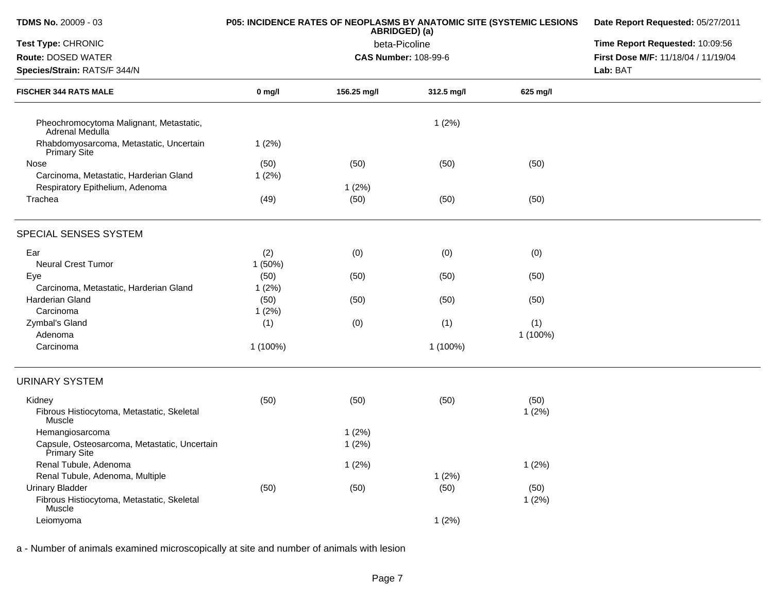| <b>TDMS No. 20009 - 03</b>                                     | P05: INCIDENCE RATES OF NEOPLASMS BY ANATOMIC SITE (SYSTEMIC LESIONS | Date Report Requested: 05/27/2011 |                                 |          |                                     |
|----------------------------------------------------------------|----------------------------------------------------------------------|-----------------------------------|---------------------------------|----------|-------------------------------------|
| Test Type: CHRONIC                                             |                                                                      | beta-Picoline                     | Time Report Requested: 10:09:56 |          |                                     |
| Route: DOSED WATER                                             |                                                                      | <b>CAS Number: 108-99-6</b>       |                                 |          | First Dose M/F: 11/18/04 / 11/19/04 |
| Species/Strain: RATS/F 344/N                                   |                                                                      |                                   |                                 | Lab: BAT |                                     |
| <b>FISCHER 344 RATS MALE</b>                                   | $0$ mg/l                                                             | 156.25 mg/l                       | 312.5 mg/l                      | 625 mg/l |                                     |
| Pheochromocytoma Malignant, Metastatic,<br>Adrenal Medulla     |                                                                      |                                   | 1(2%)                           |          |                                     |
| Rhabdomyosarcoma, Metastatic, Uncertain<br><b>Primary Site</b> | 1(2%)                                                                |                                   |                                 |          |                                     |
| Nose                                                           | (50)                                                                 | (50)                              | (50)                            | (50)     |                                     |
| Carcinoma, Metastatic, Harderian Gland                         | 1(2%)                                                                |                                   |                                 |          |                                     |
| Respiratory Epithelium, Adenoma                                |                                                                      | 1(2%)                             |                                 |          |                                     |
| Trachea                                                        | (49)                                                                 | (50)                              | (50)                            | (50)     |                                     |
| SPECIAL SENSES SYSTEM                                          |                                                                      |                                   |                                 |          |                                     |
| Ear                                                            | (2)                                                                  | (0)                               | (0)                             | (0)      |                                     |
| <b>Neural Crest Tumor</b>                                      | 1 (50%)                                                              |                                   |                                 |          |                                     |
| Eye                                                            | (50)                                                                 | (50)                              | (50)                            | (50)     |                                     |
| Carcinoma, Metastatic, Harderian Gland                         | 1(2%)                                                                |                                   |                                 |          |                                     |
| <b>Harderian Gland</b>                                         | (50)                                                                 | (50)                              | (50)                            | (50)     |                                     |
| Carcinoma                                                      | 1(2%)                                                                |                                   |                                 |          |                                     |
| Zymbal's Gland                                                 | (1)                                                                  | (0)                               | (1)                             | (1)      |                                     |
| Adenoma                                                        |                                                                      |                                   |                                 | 1 (100%) |                                     |
| Carcinoma                                                      | 1 (100%)                                                             |                                   | 1 (100%)                        |          |                                     |
| <b>URINARY SYSTEM</b>                                          |                                                                      |                                   |                                 |          |                                     |
| Kidney                                                         | (50)                                                                 | (50)                              | (50)                            | (50)     |                                     |
| Fibrous Histiocytoma, Metastatic, Skeletal<br>Muscle           |                                                                      |                                   |                                 | 1(2%)    |                                     |
| Hemangiosarcoma                                                |                                                                      | 1(2%)                             |                                 |          |                                     |
| Capsule, Osteosarcoma, Metastatic, Uncertain<br>Primary Site   |                                                                      | 1(2%)                             |                                 |          |                                     |
| Renal Tubule, Adenoma                                          |                                                                      | 1(2%)                             |                                 | 1(2%)    |                                     |
| Renal Tubule, Adenoma, Multiple                                |                                                                      |                                   | 1(2%)                           |          |                                     |
| <b>Urinary Bladder</b>                                         | (50)                                                                 | (50)                              | (50)                            | (50)     |                                     |
| Fibrous Histiocytoma, Metastatic, Skeletal<br>Muscle           |                                                                      |                                   |                                 | 1(2%)    |                                     |
| Leiomyoma                                                      |                                                                      |                                   | 1(2%)                           |          |                                     |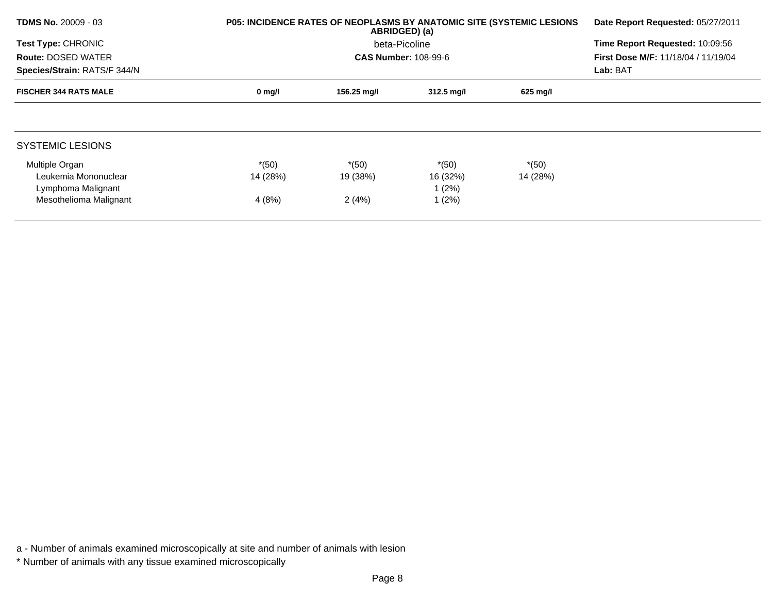| <b>TDMS No. 20009 - 03</b>   |                  | <b>P05: INCIDENCE RATES OF NEOPLASMS BY ANATOMIC SITE (SYSTEMIC LESIONS)</b><br>ABRIDGED) (a) |                      |          |                                            |  |
|------------------------------|------------------|-----------------------------------------------------------------------------------------------|----------------------|----------|--------------------------------------------|--|
| <b>Test Type: CHRONIC</b>    |                  | beta-Picoline                                                                                 |                      |          | Time Report Requested: 10:09:56            |  |
| <b>Route: DOSED WATER</b>    |                  | <b>CAS Number: 108-99-6</b>                                                                   |                      |          | <b>First Dose M/F: 11/18/04 / 11/19/04</b> |  |
| Species/Strain: RATS/F 344/N |                  |                                                                                               |                      | Lab: BAT |                                            |  |
| <b>FISCHER 344 RATS MALE</b> | $0 \text{ mg/l}$ | 156.25 mg/l                                                                                   | $312.5 \text{ mg/l}$ | 625 mg/l |                                            |  |
|                              |                  |                                                                                               |                      |          |                                            |  |
| <b>SYSTEMIC LESIONS</b>      |                  |                                                                                               |                      |          |                                            |  |
| Multiple Organ               | $*(50)$          | $*(50)$                                                                                       | $*(50)$              | $*(50)$  |                                            |  |
| Leukemia Mononuclear         | 14 (28%)         | 19 (38%)                                                                                      | 16 (32%)             | 14 (28%) |                                            |  |
| Lymphoma Malignant           |                  |                                                                                               | 1 (2%)               |          |                                            |  |
| Mesothelioma Malignant       | 4(8%)            | 2(4%)                                                                                         | 1(2%)                |          |                                            |  |

a - Number of animals examined microscopically at site and number of animals with lesion

<sup>\*</sup> Number of animals with any tissue examined microscopically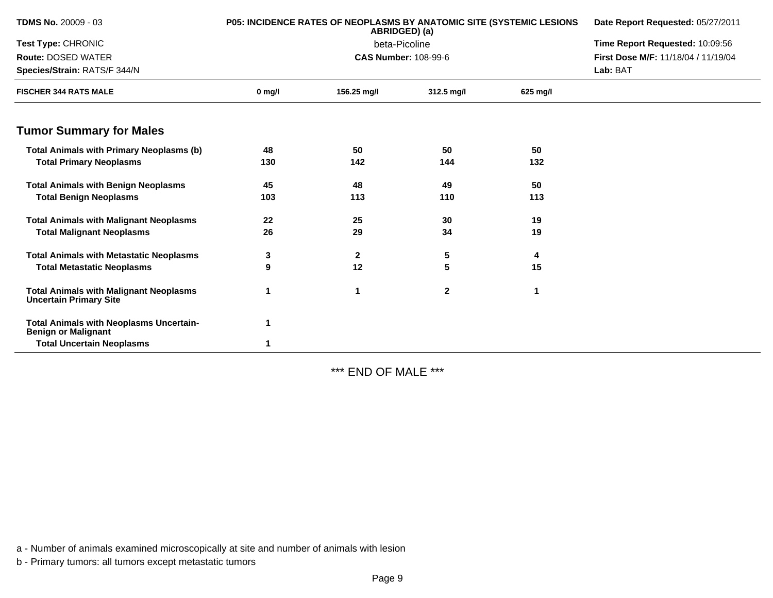| <b>TDMS No. 20009 - 03</b>                                                     |          | <b>P05: INCIDENCE RATES OF NEOPLASMS BY ANATOMIC SITE (SYSTEMIC LESIONS</b><br>ABRIDGED) (a) | Date Report Requested: 05/27/2011<br>Time Report Requested: 10:09:56 |          |                                     |
|--------------------------------------------------------------------------------|----------|----------------------------------------------------------------------------------------------|----------------------------------------------------------------------|----------|-------------------------------------|
| Test Type: CHRONIC                                                             |          | beta-Picoline                                                                                |                                                                      |          |                                     |
| <b>Route: DOSED WATER</b>                                                      |          |                                                                                              | <b>CAS Number: 108-99-6</b>                                          |          | First Dose M/F: 11/18/04 / 11/19/04 |
| Species/Strain: RATS/F 344/N                                                   |          |                                                                                              |                                                                      |          | Lab: BAT                            |
| <b>FISCHER 344 RATS MALE</b>                                                   | $0$ mg/l | 156.25 mg/l                                                                                  | 312.5 mg/l                                                           | 625 mg/l |                                     |
| <b>Tumor Summary for Males</b>                                                 |          |                                                                                              |                                                                      |          |                                     |
| <b>Total Animals with Primary Neoplasms (b)</b>                                | 48       | 50                                                                                           | 50                                                                   | 50       |                                     |
| <b>Total Primary Neoplasms</b>                                                 | 130      | 142                                                                                          | 144                                                                  | 132      |                                     |
| <b>Total Animals with Benign Neoplasms</b>                                     | 45       | 48                                                                                           | 49                                                                   | 50       |                                     |
| <b>Total Benign Neoplasms</b>                                                  | 103      | 113                                                                                          | 110                                                                  | 113      |                                     |
| <b>Total Animals with Malignant Neoplasms</b>                                  | 22       | 25                                                                                           | 30                                                                   | 19       |                                     |
| <b>Total Malignant Neoplasms</b>                                               | 26       | 29                                                                                           | 34                                                                   | 19       |                                     |
| <b>Total Animals with Metastatic Neoplasms</b>                                 | 3        | $\mathbf{2}$                                                                                 | 5                                                                    | 4        |                                     |
| <b>Total Metastatic Neoplasms</b>                                              | 9        | 12                                                                                           | 5                                                                    | 15       |                                     |
| <b>Total Animals with Malignant Neoplasms</b><br><b>Uncertain Primary Site</b> | 1        | 1                                                                                            | $\mathbf{2}$                                                         | 1        |                                     |
| <b>Total Animals with Neoplasms Uncertain-</b><br><b>Benign or Malignant</b>   | 1        |                                                                                              |                                                                      |          |                                     |
| <b>Total Uncertain Neoplasms</b>                                               | 1        |                                                                                              |                                                                      |          |                                     |

\*\*\* END OF MALE \*\*\*

a - Number of animals examined microscopically at site and number of animals with lesion

b - Primary tumors: all tumors except metastatic tumors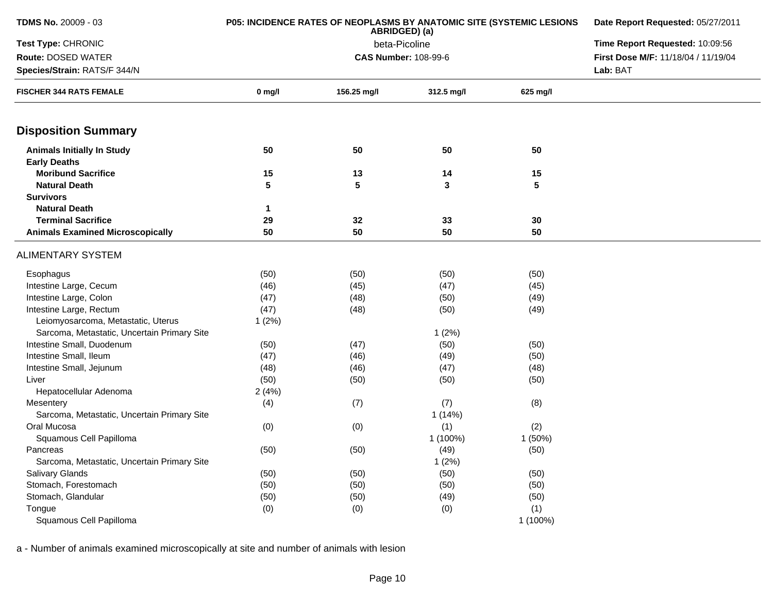| <b>TDMS No. 20009 - 03</b>                  | <b>P05: INCIDENCE RATES OF NEOPLASMS BY ANATOMIC SITE (SYSTEMIC LESIONS</b> | Date Report Requested: 05/27/2011 |            |          |                                     |
|---------------------------------------------|-----------------------------------------------------------------------------|-----------------------------------|------------|----------|-------------------------------------|
| Test Type: CHRONIC                          |                                                                             | Time Report Requested: 10:09:56   |            |          |                                     |
| Route: DOSED WATER                          |                                                                             | <b>CAS Number: 108-99-6</b>       |            |          | First Dose M/F: 11/18/04 / 11/19/04 |
| Species/Strain: RATS/F 344/N                |                                                                             |                                   |            | Lab: BAT |                                     |
| <b>FISCHER 344 RATS FEMALE</b>              | $0$ mg/l                                                                    | 156.25 mg/l                       | 312.5 mg/l | 625 mg/l |                                     |
| <b>Disposition Summary</b>                  |                                                                             |                                   |            |          |                                     |
| <b>Animals Initially In Study</b>           | 50                                                                          | 50                                | 50         | 50       |                                     |
| <b>Early Deaths</b>                         |                                                                             |                                   |            |          |                                     |
| <b>Moribund Sacrifice</b>                   | 15                                                                          | 13                                | 14         | 15       |                                     |
| <b>Natural Death</b>                        | 5                                                                           | 5                                 | 3          | 5        |                                     |
| <b>Survivors</b>                            |                                                                             |                                   |            |          |                                     |
| <b>Natural Death</b>                        | $\mathbf{1}$                                                                |                                   |            |          |                                     |
| <b>Terminal Sacrifice</b>                   | 29                                                                          | 32                                | 33         | 30       |                                     |
| <b>Animals Examined Microscopically</b>     | 50                                                                          | 50                                | 50         | 50       |                                     |
| <b>ALIMENTARY SYSTEM</b>                    |                                                                             |                                   |            |          |                                     |
| Esophagus                                   | (50)                                                                        | (50)                              | (50)       | (50)     |                                     |
| Intestine Large, Cecum                      | (46)                                                                        | (45)                              | (47)       | (45)     |                                     |
| Intestine Large, Colon                      | (47)                                                                        | (48)                              | (50)       | (49)     |                                     |
| Intestine Large, Rectum                     | (47)                                                                        | (48)                              | (50)       | (49)     |                                     |
| Leiomyosarcoma, Metastatic, Uterus          | 1(2%)                                                                       |                                   |            |          |                                     |
| Sarcoma, Metastatic, Uncertain Primary Site |                                                                             |                                   | 1(2%)      |          |                                     |
| Intestine Small, Duodenum                   | (50)                                                                        | (47)                              | (50)       | (50)     |                                     |
| Intestine Small, Ileum                      | (47)                                                                        | (46)                              | (49)       | (50)     |                                     |
| Intestine Small, Jejunum                    | (48)                                                                        | (46)                              | (47)       | (48)     |                                     |
| Liver                                       | (50)                                                                        | (50)                              | (50)       | (50)     |                                     |
| Hepatocellular Adenoma                      | 2(4%)                                                                       |                                   |            |          |                                     |
| Mesentery                                   | (4)                                                                         | (7)                               | (7)        | (8)      |                                     |
| Sarcoma, Metastatic, Uncertain Primary Site |                                                                             |                                   | 1(14%)     |          |                                     |
| Oral Mucosa                                 | (0)                                                                         | (0)                               | (1)        | (2)      |                                     |
| Squamous Cell Papilloma                     |                                                                             |                                   | 1 (100%)   | 1(50%)   |                                     |
| Pancreas                                    | (50)                                                                        | (50)                              | (49)       | (50)     |                                     |
| Sarcoma, Metastatic, Uncertain Primary Site |                                                                             |                                   | 1(2%)      |          |                                     |
| <b>Salivary Glands</b>                      | (50)                                                                        | (50)                              | (50)       | (50)     |                                     |
| Stomach, Forestomach                        | (50)                                                                        | (50)                              | (50)       | (50)     |                                     |
| Stomach, Glandular                          | (50)                                                                        | (50)                              | (49)       | (50)     |                                     |
| Tongue                                      | (0)                                                                         | (0)                               | (0)        | (1)      |                                     |
| Squamous Cell Papilloma                     |                                                                             |                                   |            | 1 (100%) |                                     |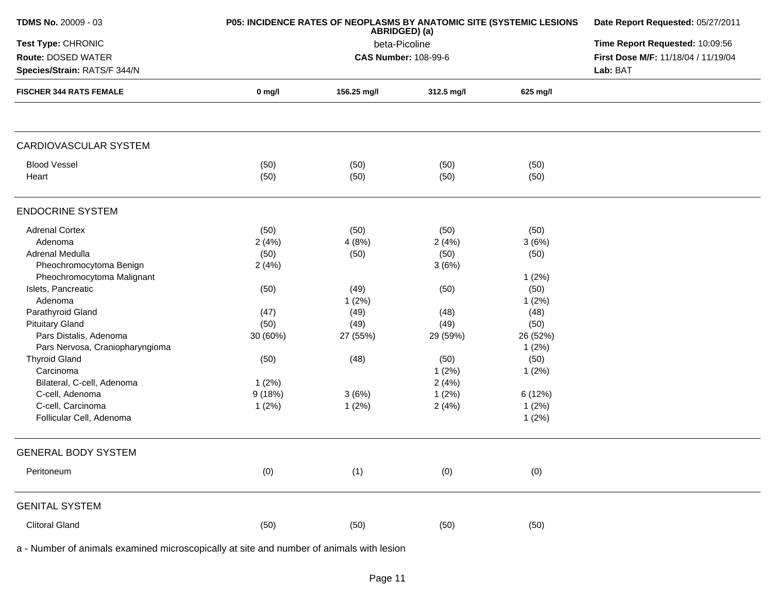| <b>TDMS No. 20009 - 03</b>      | <b>P05: INCIDENCE RATES OF NEOPLASMS BY ANATOMIC SITE (SYSTEMIC LESIONS</b> | Date Report Requested: 05/27/2011 |                             |          |                                     |
|---------------------------------|-----------------------------------------------------------------------------|-----------------------------------|-----------------------------|----------|-------------------------------------|
| Test Type: CHRONIC              |                                                                             | Time Report Requested: 10:09:56   |                             |          |                                     |
| <b>Route: DOSED WATER</b>       |                                                                             |                                   | <b>CAS Number: 108-99-6</b> |          | First Dose M/F: 11/18/04 / 11/19/04 |
| Species/Strain: RATS/F 344/N    |                                                                             |                                   |                             |          | Lab: BAT                            |
| <b>FISCHER 344 RATS FEMALE</b>  | $0$ mg/l                                                                    | 156.25 mg/l                       | 312.5 mg/l                  | 625 mg/l |                                     |
|                                 |                                                                             |                                   |                             |          |                                     |
| CARDIOVASCULAR SYSTEM           |                                                                             |                                   |                             |          |                                     |
| <b>Blood Vessel</b>             | (50)                                                                        | (50)                              | (50)                        | (50)     |                                     |
| Heart                           | (50)                                                                        | (50)                              | (50)                        | (50)     |                                     |
| <b>ENDOCRINE SYSTEM</b>         |                                                                             |                                   |                             |          |                                     |
| <b>Adrenal Cortex</b>           | (50)                                                                        | (50)                              | (50)                        | (50)     |                                     |
| Adenoma                         | 2(4%)                                                                       | 4(8%)                             | 2(4%)                       | 3(6%)    |                                     |
| Adrenal Medulla                 | (50)                                                                        | (50)                              | (50)                        | (50)     |                                     |
| Pheochromocytoma Benign         | 2(4%)                                                                       |                                   | 3(6%)                       |          |                                     |
| Pheochromocytoma Malignant      |                                                                             |                                   |                             | 1(2%)    |                                     |
| Islets, Pancreatic              | (50)                                                                        | (49)                              | (50)                        | (50)     |                                     |
| Adenoma                         |                                                                             | 1(2%)                             |                             | 1(2%)    |                                     |
| Parathyroid Gland               | (47)                                                                        | (49)                              | (48)                        | (48)     |                                     |
| <b>Pituitary Gland</b>          | (50)                                                                        | (49)                              | (49)                        | (50)     |                                     |
| Pars Distalis, Adenoma          | 30 (60%)                                                                    | 27 (55%)                          | 29 (59%)                    | 26 (52%) |                                     |
| Pars Nervosa, Craniopharyngioma |                                                                             |                                   |                             | 1(2%)    |                                     |
| <b>Thyroid Gland</b>            | (50)                                                                        | (48)                              | (50)                        | (50)     |                                     |
| Carcinoma                       |                                                                             |                                   | 1(2%)                       | 1(2%)    |                                     |
| Bilateral, C-cell, Adenoma      | 1(2%)                                                                       |                                   | 2(4%)                       |          |                                     |
| C-cell, Adenoma                 | 9(18%)                                                                      | 3(6%)                             | 1(2%)                       | 6 (12%)  |                                     |
| C-cell, Carcinoma               | 1(2%)                                                                       | 1(2%)                             | 2(4%)                       | 1(2%)    |                                     |
| Follicular Cell, Adenoma        |                                                                             |                                   |                             | 1(2%)    |                                     |
| <b>GENERAL BODY SYSTEM</b>      |                                                                             |                                   |                             |          |                                     |
| Peritoneum                      | (0)                                                                         | (1)                               | (0)                         | (0)      |                                     |
| <b>GENITAL SYSTEM</b>           |                                                                             |                                   |                             |          |                                     |
| <b>Clitoral Gland</b>           | (50)                                                                        | (50)                              | (50)                        | (50)     |                                     |
|                                 |                                                                             |                                   |                             |          |                                     |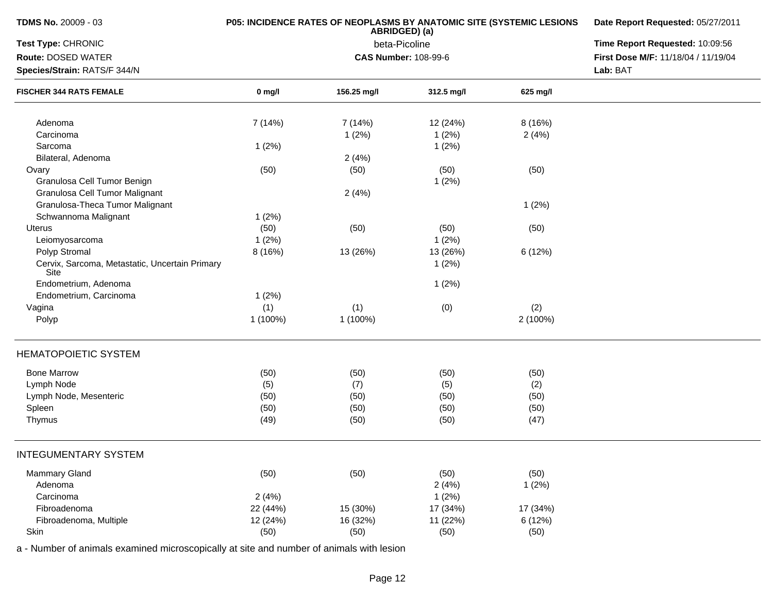| Test Type: CHRONIC<br>Route: DOSED WATER<br>Species/Strain: RATS/F 344/N<br><b>FISCHER 344 RATS FEMALE</b><br>Adenoma<br>Carcinoma<br>Sarcoma<br>Bilateral, Adenoma<br>Ovary<br>Granulosa Cell Tumor Benign<br>Granulosa Cell Tumor Malignant |          | P05: INCIDENCE RATES OF NEOPLASMS BY ANATOMIC SITE (SYSTEMIC LESIONS<br>ABRIDGED) (a) | Date Report Requested: 05/27/2011<br>Time Report Requested: 10:09:56 |          |                                     |
|-----------------------------------------------------------------------------------------------------------------------------------------------------------------------------------------------------------------------------------------------|----------|---------------------------------------------------------------------------------------|----------------------------------------------------------------------|----------|-------------------------------------|
|                                                                                                                                                                                                                                               |          | beta-Picoline                                                                         |                                                                      |          |                                     |
|                                                                                                                                                                                                                                               |          |                                                                                       | <b>CAS Number: 108-99-6</b>                                          |          | First Dose M/F: 11/18/04 / 11/19/04 |
|                                                                                                                                                                                                                                               |          |                                                                                       | Lab: BAT                                                             |          |                                     |
|                                                                                                                                                                                                                                               | $0$ mg/l | 156.25 mg/l                                                                           | 312.5 mg/l                                                           | 625 mg/l |                                     |
|                                                                                                                                                                                                                                               | 7 (14%)  | 7(14%)                                                                                | 12 (24%)                                                             | 8 (16%)  |                                     |
|                                                                                                                                                                                                                                               |          | 1(2%)                                                                                 | 1(2%)                                                                | 2(4%)    |                                     |
|                                                                                                                                                                                                                                               | 1(2%)    |                                                                                       | 1(2%)                                                                |          |                                     |
|                                                                                                                                                                                                                                               |          | 2(4%)                                                                                 |                                                                      |          |                                     |
|                                                                                                                                                                                                                                               | (50)     | (50)                                                                                  | (50)                                                                 | (50)     |                                     |
|                                                                                                                                                                                                                                               |          |                                                                                       | 1(2%)                                                                |          |                                     |
|                                                                                                                                                                                                                                               |          | 2(4%)                                                                                 |                                                                      |          |                                     |
| Granulosa-Theca Tumor Malignant                                                                                                                                                                                                               |          |                                                                                       |                                                                      | 1(2%)    |                                     |
| Schwannoma Malignant                                                                                                                                                                                                                          | 1(2%)    |                                                                                       |                                                                      |          |                                     |
| Uterus                                                                                                                                                                                                                                        | (50)     | (50)                                                                                  | (50)                                                                 | (50)     |                                     |
| Leiomyosarcoma                                                                                                                                                                                                                                | 1(2%)    |                                                                                       | 1(2%)                                                                |          |                                     |
| Polyp Stromal                                                                                                                                                                                                                                 | 8 (16%)  | 13 (26%)                                                                              | 13 (26%)                                                             | 6 (12%)  |                                     |
| Cervix, Sarcoma, Metastatic, Uncertain Primary<br>Site                                                                                                                                                                                        |          |                                                                                       | 1(2%)                                                                |          |                                     |
| Endometrium, Adenoma                                                                                                                                                                                                                          |          |                                                                                       | 1(2%)                                                                |          |                                     |
| Endometrium, Carcinoma                                                                                                                                                                                                                        | 1(2%)    |                                                                                       |                                                                      |          |                                     |
| Vagina                                                                                                                                                                                                                                        | (1)      | (1)                                                                                   | (0)                                                                  | (2)      |                                     |
| Polyp                                                                                                                                                                                                                                         | 1 (100%) | 1 (100%)                                                                              |                                                                      | 2 (100%) |                                     |
| <b>HEMATOPOIETIC SYSTEM</b>                                                                                                                                                                                                                   |          |                                                                                       |                                                                      |          |                                     |
| <b>Bone Marrow</b>                                                                                                                                                                                                                            | (50)     | (50)                                                                                  | (50)                                                                 | (50)     |                                     |
| Lymph Node                                                                                                                                                                                                                                    | (5)      | (7)                                                                                   | (5)                                                                  | (2)      |                                     |
| Lymph Node, Mesenteric                                                                                                                                                                                                                        | (50)     | (50)                                                                                  | (50)                                                                 | (50)     |                                     |
| Spleen                                                                                                                                                                                                                                        | (50)     | (50)                                                                                  | (50)                                                                 | (50)     |                                     |
| Thymus                                                                                                                                                                                                                                        | (49)     | (50)                                                                                  | (50)                                                                 | (47)     |                                     |
| <b>INTEGUMENTARY SYSTEM</b>                                                                                                                                                                                                                   |          |                                                                                       |                                                                      |          |                                     |
| <b>Mammary Gland</b>                                                                                                                                                                                                                          | (50)     | (50)                                                                                  | (50)                                                                 | (50)     |                                     |
| Adenoma                                                                                                                                                                                                                                       |          |                                                                                       | 2(4%)                                                                | 1(2%)    |                                     |
| Carcinoma                                                                                                                                                                                                                                     | 2(4%)    |                                                                                       | 1(2%)                                                                |          |                                     |
| Fibroadenoma                                                                                                                                                                                                                                  | 22 (44%) | 15 (30%)                                                                              | 17 (34%)                                                             | 17 (34%) |                                     |
| Fibroadenoma, Multiple                                                                                                                                                                                                                        | 12 (24%) | 16 (32%)                                                                              | 11 (22%)                                                             | 6 (12%)  |                                     |
| Skin                                                                                                                                                                                                                                          | (50)     | (50)                                                                                  | (50)                                                                 | (50)     |                                     |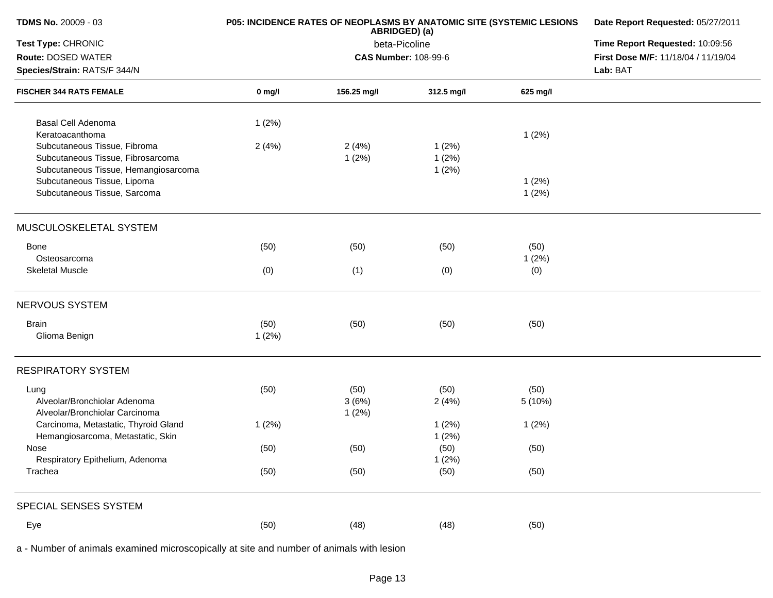| <b>TDMS No. 20009 - 03</b>                                     |          | <b>P05: INCIDENCE RATES OF NEOPLASMS BY ANATOMIC SITE (SYSTEMIC LESIONS</b><br>ABRIDGED) (a) | Date Report Requested: 05/27/2011<br>Time Report Requested: 10:09:56<br>First Dose M/F: 11/18/04 / 11/19/04<br>Lab: BAT |          |  |
|----------------------------------------------------------------|----------|----------------------------------------------------------------------------------------------|-------------------------------------------------------------------------------------------------------------------------|----------|--|
| Test Type: CHRONIC<br><b>Route: DOSED WATER</b>                |          | beta-Picoline<br><b>CAS Number: 108-99-6</b>                                                 |                                                                                                                         |          |  |
| Species/Strain: RATS/F 344/N<br><b>FISCHER 344 RATS FEMALE</b> |          |                                                                                              |                                                                                                                         |          |  |
|                                                                | $0$ mg/l | 156.25 mg/l                                                                                  | 312.5 mg/l                                                                                                              | 625 mg/l |  |
| Basal Cell Adenoma                                             | 1(2%)    |                                                                                              |                                                                                                                         |          |  |
| Keratoacanthoma                                                |          |                                                                                              |                                                                                                                         | 1(2%)    |  |
| Subcutaneous Tissue, Fibroma                                   | 2(4%)    | 2(4%)                                                                                        | 1(2%)                                                                                                                   |          |  |
| Subcutaneous Tissue, Fibrosarcoma                              |          | 1(2%)                                                                                        | 1(2%)                                                                                                                   |          |  |
| Subcutaneous Tissue, Hemangiosarcoma                           |          |                                                                                              | 1(2%)                                                                                                                   |          |  |
| Subcutaneous Tissue, Lipoma                                    |          |                                                                                              |                                                                                                                         | 1(2%)    |  |
| Subcutaneous Tissue, Sarcoma                                   |          |                                                                                              |                                                                                                                         | 1(2%)    |  |
| MUSCULOSKELETAL SYSTEM                                         |          |                                                                                              |                                                                                                                         |          |  |
| Bone                                                           | (50)     | (50)                                                                                         | (50)                                                                                                                    | (50)     |  |
| Osteosarcoma                                                   |          |                                                                                              |                                                                                                                         | 1(2%)    |  |
| <b>Skeletal Muscle</b>                                         | (0)      | (1)                                                                                          | (0)                                                                                                                     | (0)      |  |
| NERVOUS SYSTEM                                                 |          |                                                                                              |                                                                                                                         |          |  |
| <b>Brain</b>                                                   | (50)     | (50)                                                                                         | (50)                                                                                                                    | (50)     |  |
| Glioma Benign                                                  | 1(2%)    |                                                                                              |                                                                                                                         |          |  |
| <b>RESPIRATORY SYSTEM</b>                                      |          |                                                                                              |                                                                                                                         |          |  |
| Lung                                                           | (50)     | (50)                                                                                         | (50)                                                                                                                    | (50)     |  |
| Alveolar/Bronchiolar Adenoma                                   |          | 3(6%)                                                                                        | 2(4%)                                                                                                                   | 5 (10%)  |  |
| Alveolar/Bronchiolar Carcinoma                                 |          | 1(2%)                                                                                        |                                                                                                                         |          |  |
| Carcinoma, Metastatic, Thyroid Gland                           | 1(2%)    |                                                                                              | 1(2%)                                                                                                                   | 1(2%)    |  |
| Hemangiosarcoma, Metastatic, Skin                              |          |                                                                                              | 1(2%)                                                                                                                   |          |  |
| Nose                                                           | (50)     | (50)                                                                                         | (50)                                                                                                                    | (50)     |  |
| Respiratory Epithelium, Adenoma                                |          |                                                                                              | 1(2%)                                                                                                                   |          |  |
| Trachea                                                        | (50)     | (50)                                                                                         | (50)                                                                                                                    | (50)     |  |
| SPECIAL SENSES SYSTEM                                          |          |                                                                                              |                                                                                                                         |          |  |
| Eye                                                            | (50)     | (48)                                                                                         | (48)                                                                                                                    | (50)     |  |
|                                                                |          |                                                                                              |                                                                                                                         |          |  |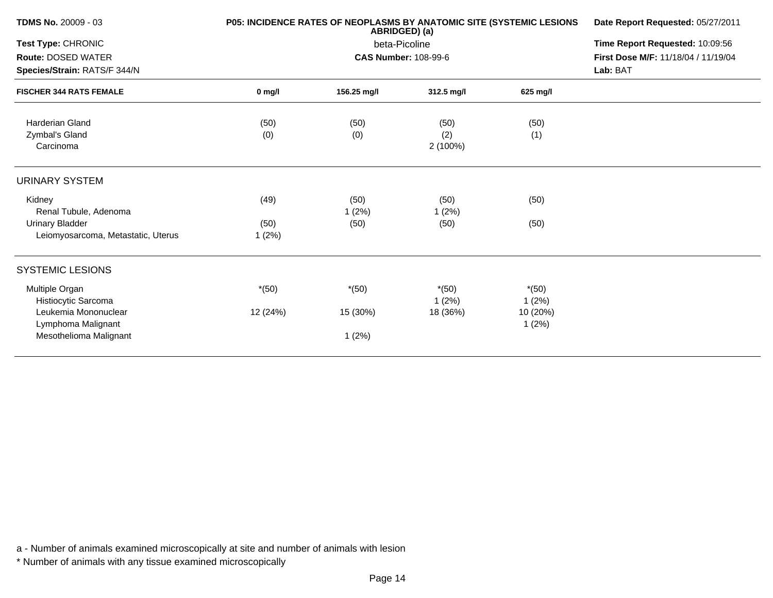| TDMS No. 20009 - 03                                                                  |               | P05: INCIDENCE RATES OF NEOPLASMS BY ANATOMIC SITE (SYSTEMIC LESIONS<br>ABRIDGED) (a) | Date Report Requested: 05/27/2011<br>Time Report Requested: 10:09:56 |                   |  |
|--------------------------------------------------------------------------------------|---------------|---------------------------------------------------------------------------------------|----------------------------------------------------------------------|-------------------|--|
| Test Type: CHRONIC                                                                   |               | beta-Picoline                                                                         |                                                                      |                   |  |
| Route: DOSED WATER<br>Species/Strain: RATS/F 344/N<br><b>FISCHER 344 RATS FEMALE</b> |               | <b>CAS Number: 108-99-6</b>                                                           | First Dose M/F: 11/18/04 / 11/19/04<br>Lab: BAT                      |                   |  |
|                                                                                      | $0$ mg/l      | 156.25 mg/l                                                                           | $312.5$ mg/l                                                         | 625 mg/l          |  |
| <b>Harderian Gland</b>                                                               | (50)          | (50)                                                                                  | (50)                                                                 | (50)              |  |
| Zymbal's Gland<br>Carcinoma                                                          | (0)           | (0)                                                                                   | (2)<br>$2(100\%)$                                                    | (1)               |  |
| URINARY SYSTEM                                                                       |               |                                                                                       |                                                                      |                   |  |
| Kidney<br>Renal Tubule, Adenoma                                                      | (49)          | (50)<br>1(2%)                                                                         | (50)<br>1(2%)                                                        | (50)              |  |
| <b>Urinary Bladder</b><br>Leiomyosarcoma, Metastatic, Uterus                         | (50)<br>1(2%) | (50)                                                                                  | (50)                                                                 | (50)              |  |
| <b>SYSTEMIC LESIONS</b>                                                              |               |                                                                                       |                                                                      |                   |  |
| Multiple Organ<br>Histiocytic Sarcoma                                                | $*(50)$       | $*(50)$                                                                               | $*(50)$<br>1(2%)                                                     | $*(50)$<br>1(2%)  |  |
| Leukemia Mononuclear<br>Lymphoma Malignant                                           | 12 (24%)      | 15 (30%)                                                                              | 18 (36%)                                                             | 10 (20%)<br>1(2%) |  |
| Mesothelioma Malignant                                                               |               | 1(2%)                                                                                 |                                                                      |                   |  |
|                                                                                      |               |                                                                                       |                                                                      |                   |  |

\* Number of animals with any tissue examined microscopically